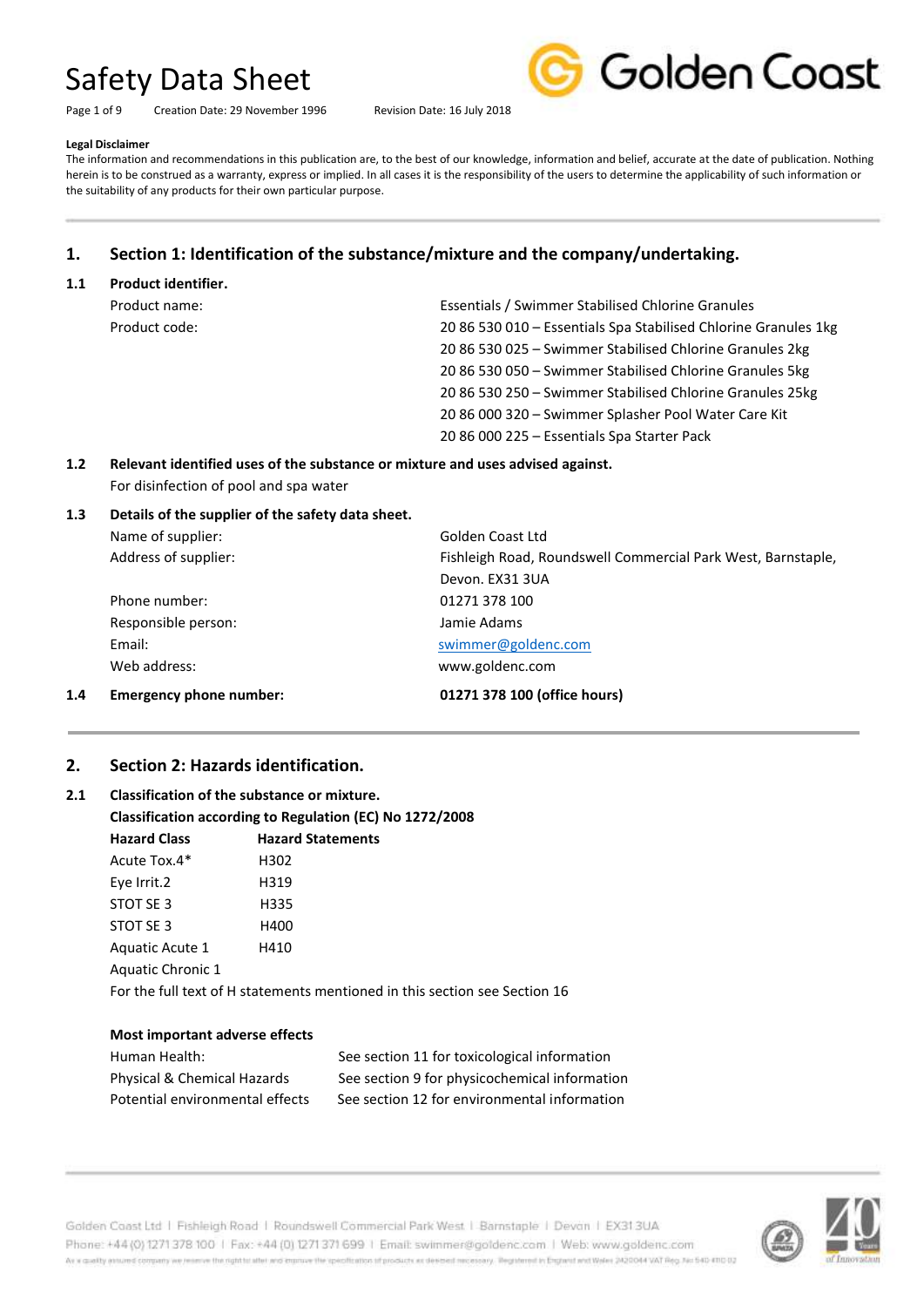Page 1 of 9 Creation Date: 29 November 1996 Revision Date: 16 July 2018



#### **Legal Disclaimer**

The information and recommendations in this publication are, to the best of our knowledge, information and belief, accurate at the date of publication. Nothing herein is to be construed as a warranty, express or implied. In all cases it is the responsibility of the users to determine the applicability of such information or the suitability of any products for their own particular purpose.

### **1. Section 1: Identification of the substance/mixture and the company/undertaking.**

#### **1.1 Product identifier.**

| Product name: | Essentials / Swimmer Stabilised Chlorine Granules               |
|---------------|-----------------------------------------------------------------|
| Product code: | 20 86 530 010 - Essentials Spa Stabilised Chlorine Granules 1kg |
|               | 20 86 530 025 - Swimmer Stabilised Chlorine Granules 2kg        |
|               | 20 86 530 050 - Swimmer Stabilised Chlorine Granules 5kg        |
|               | 20 86 530 250 - Swimmer Stabilised Chlorine Granules 25kg       |
|               | 20 86 000 320 - Swimmer Splasher Pool Water Care Kit            |
|               | 20 86 000 225 - Essentials Spa Starter Pack                     |

#### **1.2 Relevant identified uses of the substance or mixture and uses advised against.** For disinfection of pool and spa water

#### **1.3 Details of the supplier of the safety data sheet.**

| 1.4 | <b>Emergency phone number:</b> | 01271 378 100 (office hours)                                 |
|-----|--------------------------------|--------------------------------------------------------------|
|     | Web address:                   | www.goldenc.com                                              |
|     | Email:                         | swimmer@goldenc.com                                          |
|     | Responsible person:            | Jamie Adams                                                  |
|     | Phone number:                  | 01271 378 100                                                |
|     |                                | Devon. EX31 3UA                                              |
|     | Address of supplier:           | Fishleigh Road, Roundswell Commercial Park West, Barnstaple, |
|     | Name of supplier:              | Golden Coast Ltd                                             |
|     |                                |                                                              |

#### **2. Section 2: Hazards identification.**

### **2.1 Classification of the substance or mixture. Classification according to Regulation (EC) No 1272/2008 Hazard Class Hazard Statements** Acute Tox.4\* H302 Eye Irrit.2 H319 STOT SE 3 H335 STOT SE 3 H400 Aquatic Acute 1 H410 Aquatic Chronic 1 For the full text of H statements mentioned in this section see Section 16

#### **Most important adverse effects**

| Human Health:                          |  |
|----------------------------------------|--|
| <b>Physical &amp; Chemical Hazards</b> |  |
| Potential environmental effects        |  |

See section 11 for toxicological information See section 9 for physicochemical information See section 12 for environmental information



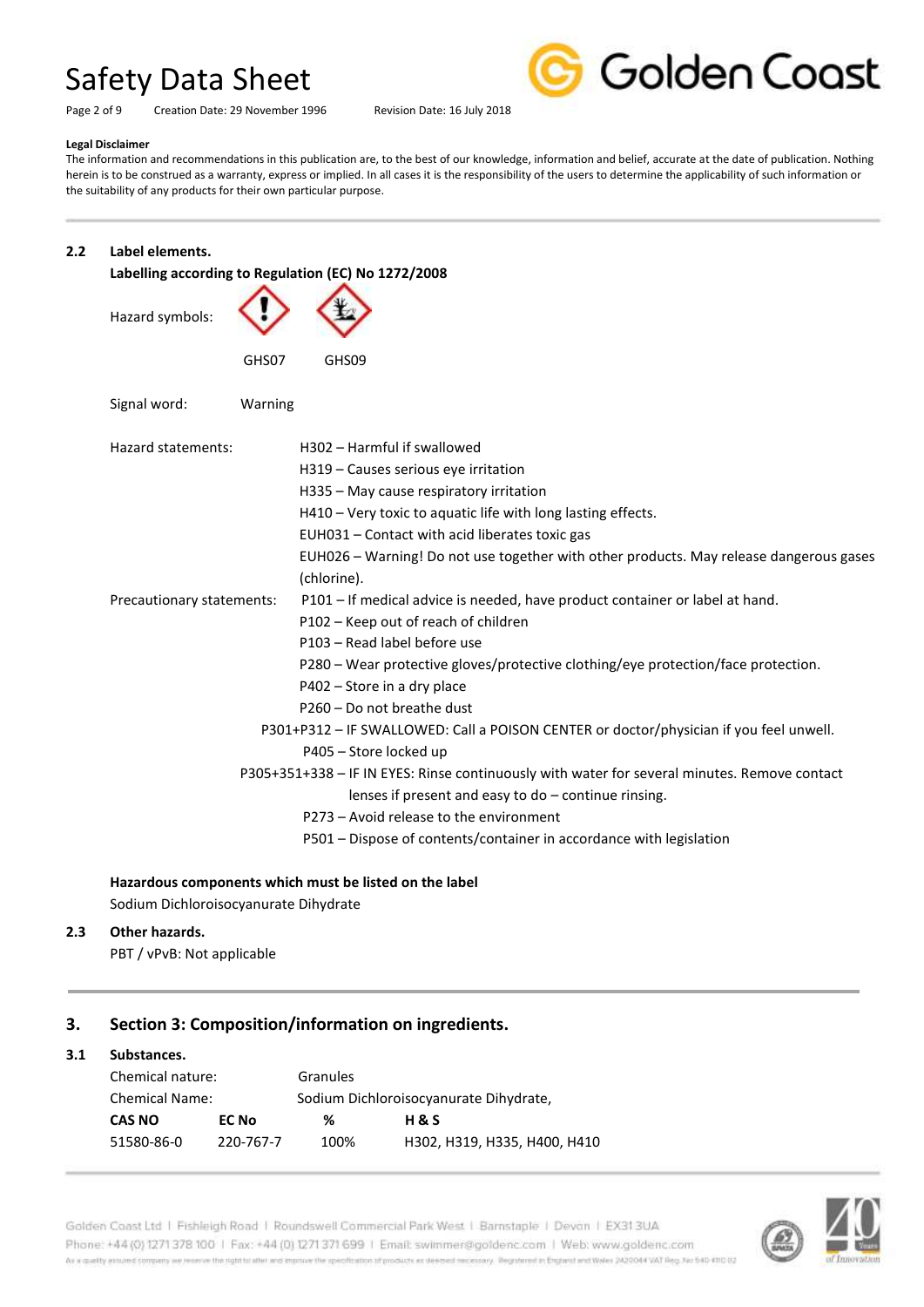Page 2 of 9 Creation Date: 29 November 1996 Revision Date: 16 July 2018



### **Legal Disclaimer**

The information and recommendations in this publication are, to the best of our knowledge, information and belief, accurate at the date of publication. Nothing herein is to be construed as a warranty, express or implied. In all cases it is the responsibility of the users to determine the applicability of such information or the suitability of any products for their own particular purpose.

#### **2.2 Label elements.**

| Labelling according to Regulation (EC) No 1272/2008 |                                                                                                       |  |
|-----------------------------------------------------|-------------------------------------------------------------------------------------------------------|--|
| Hazard symbols:                                     |                                                                                                       |  |
| GHS07                                               | GHS09                                                                                                 |  |
| Signal word:<br>Warning                             |                                                                                                       |  |
| Hazard statements:                                  | H302 - Harmful if swallowed                                                                           |  |
|                                                     | H319 - Causes serious eye irritation                                                                  |  |
|                                                     | H335 - May cause respiratory irritation                                                               |  |
|                                                     | H410 - Very toxic to aquatic life with long lasting effects.                                          |  |
|                                                     | EUH031 - Contact with acid liberates toxic gas                                                        |  |
|                                                     | EUH026 - Warning! Do not use together with other products. May release dangerous gases<br>(chlorine). |  |
| Precautionary statements:                           | P101 - If medical advice is needed, have product container or label at hand.                          |  |
|                                                     | P102 - Keep out of reach of children                                                                  |  |
|                                                     | P103 - Read label before use                                                                          |  |
|                                                     | P280 - Wear protective gloves/protective clothing/eye protection/face protection.                     |  |
|                                                     | P402 – Store in a dry place                                                                           |  |
|                                                     | P260 - Do not breathe dust                                                                            |  |
|                                                     | P301+P312 - IF SWALLOWED: Call a POISON CENTER or doctor/physician if you feel unwell.                |  |
|                                                     | P405 - Store locked up                                                                                |  |
|                                                     | P305+351+338 - IF IN EYES: Rinse continuously with water for several minutes. Remove contact          |  |
|                                                     | lenses if present and easy to do - continue rinsing.                                                  |  |
|                                                     | P273 - Avoid release to the environment                                                               |  |
|                                                     | P501 - Dispose of contents/container in accordance with legislation                                   |  |

#### **Hazardous components which must be listed on the label**

Sodium Dichloroisocyanurate Dihydrate

#### **2.3 Other hazards.**

PBT / vPvB: Not applicable

#### **3. Section 3: Composition/information on ingredients.**

#### **3.1 Substances.**

| Chemical nature:      |           | Granules                               |                              |  |
|-----------------------|-----------|----------------------------------------|------------------------------|--|
| <b>Chemical Name:</b> |           | Sodium Dichloroisocyanurate Dihydrate, |                              |  |
| CAS NO<br>EC No       |           | %                                      | H & S                        |  |
| 51580-86-0            | 220-767-7 | 100%                                   | H302, H319, H335, H400, H410 |  |

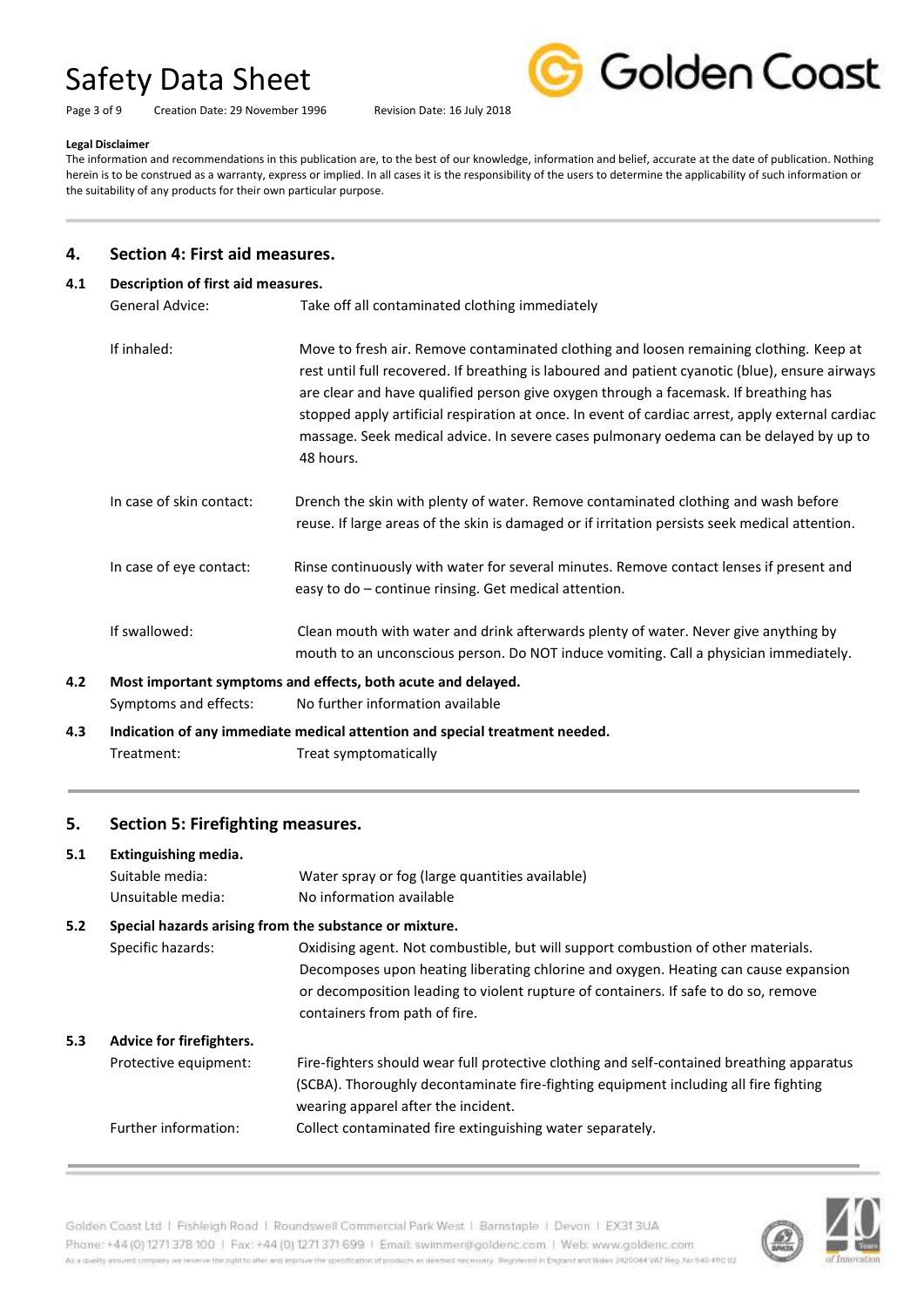Page 3 of 9 Creation Date: 29 November 1996 Revision Date: 16 July 2018



#### **Legal Disclaimer**

The information and recommendations in this publication are, to the best of our knowledge, information and belief, accurate at the date of publication. Nothing herein is to be construed as a warranty, express or implied. In all cases it is the responsibility of the users to determine the applicability of such information or the suitability of any products for their own particular purpose.

#### **4. Section 4: First aid measures.**

#### **4.1 Description of first aid measures.**

General Advice: Take off all contaminated clothing immediately

|     | If inhaled:              | Move to fresh air. Remove contaminated clothing and loosen remaining clothing. Keep at<br>rest until full recovered. If breathing is laboured and patient cyanotic (blue), ensure airways<br>are clear and have qualified person give oxygen through a facemask. If breathing has<br>stopped apply artificial respiration at once. In event of cardiac arrest, apply external cardiac<br>massage. Seek medical advice. In severe cases pulmonary oedema can be delayed by up to<br>48 hours. |
|-----|--------------------------|----------------------------------------------------------------------------------------------------------------------------------------------------------------------------------------------------------------------------------------------------------------------------------------------------------------------------------------------------------------------------------------------------------------------------------------------------------------------------------------------|
|     | In case of skin contact: | Drench the skin with plenty of water. Remove contaminated clothing and wash before<br>reuse. If large areas of the skin is damaged or if irritation persists seek medical attention.                                                                                                                                                                                                                                                                                                         |
|     | In case of eye contact:  | Rinse continuously with water for several minutes. Remove contact lenses if present and<br>easy to do – continue rinsing. Get medical attention.                                                                                                                                                                                                                                                                                                                                             |
|     | If swallowed:            | Clean mouth with water and drink afterwards plenty of water. Never give anything by<br>mouth to an unconscious person. Do NOT induce vomiting. Call a physician immediately.                                                                                                                                                                                                                                                                                                                 |
| 4.2 |                          | Most important symptoms and effects, both acute and delayed.                                                                                                                                                                                                                                                                                                                                                                                                                                 |
|     | Symptoms and effects:    | No further information available                                                                                                                                                                                                                                                                                                                                                                                                                                                             |

**4.3 Indication of any immediate medical attention and special treatment needed.** Treatment: Treat symptomatically

#### **5. Section 5: Firefighting measures.**

#### **5.1 Extinguishing media.**

|     | Suitable media:                                        | Water spray or fog (large quantities available)                                                                                                                                                                                                                                                  |
|-----|--------------------------------------------------------|--------------------------------------------------------------------------------------------------------------------------------------------------------------------------------------------------------------------------------------------------------------------------------------------------|
|     | Unsuitable media:                                      | No information available                                                                                                                                                                                                                                                                         |
| 5.2 | Special hazards arising from the substance or mixture. |                                                                                                                                                                                                                                                                                                  |
|     | Specific hazards:                                      | Oxidising agent. Not combustible, but will support combustion of other materials.<br>Decomposes upon heating liberating chlorine and oxygen. Heating can cause expansion<br>or decomposition leading to violent rupture of containers. If safe to do so, remove<br>containers from path of fire. |
| 5.3 | Advice for firefighters.                               |                                                                                                                                                                                                                                                                                                  |
|     | Protective equipment:                                  | Fire-fighters should wear full protective clothing and self-contained breathing apparatus<br>(SCBA). Thoroughly decontaminate fire-fighting equipment including all fire fighting<br>wearing apparel after the incident.                                                                         |
|     | Further information:                                   | Collect contaminated fire extinguishing water separately.                                                                                                                                                                                                                                        |

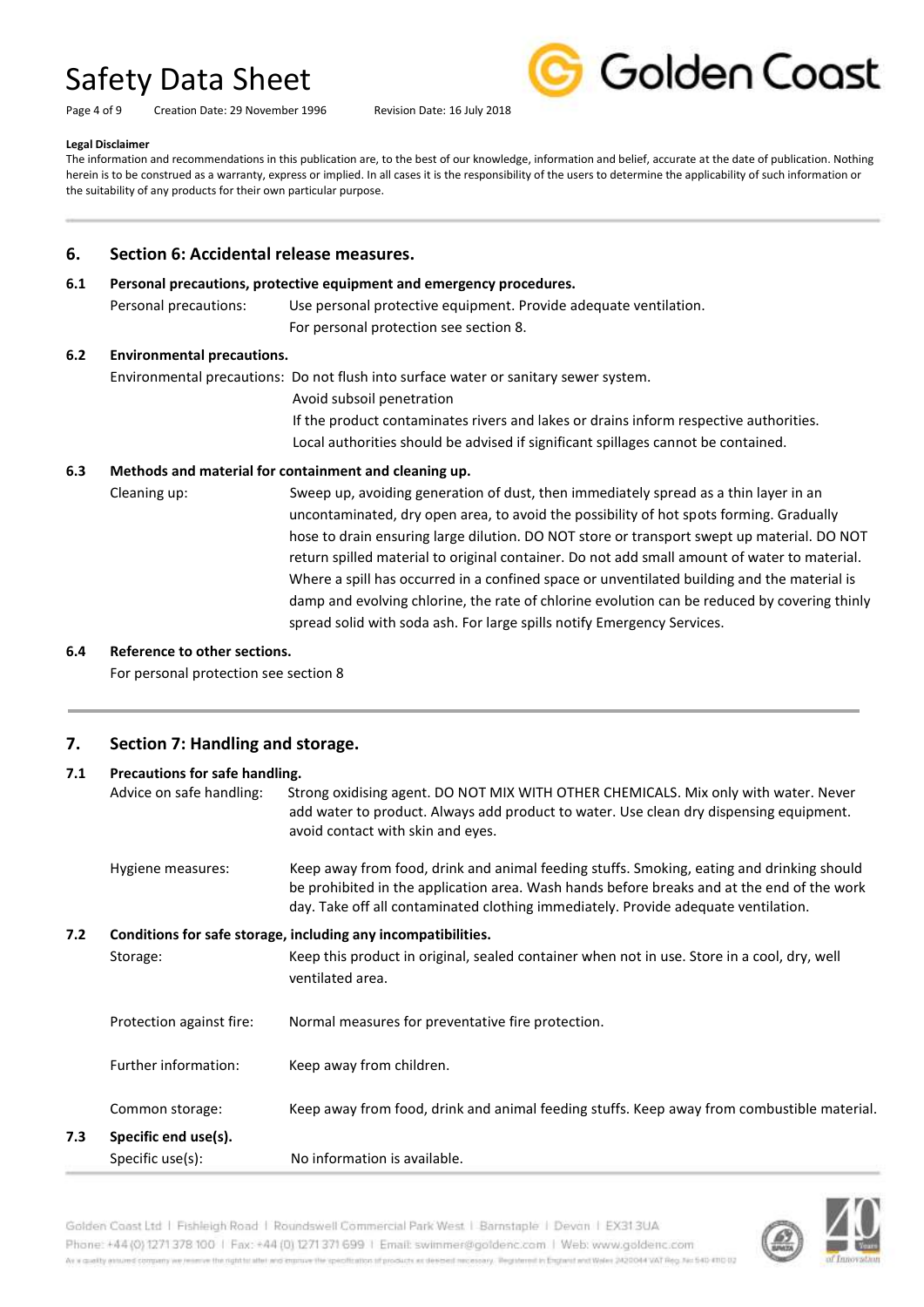Page 4 of 9 Creation Date: 29 November 1996 Revision Date: 16 July 2018



#### **Legal Disclaimer**

The information and recommendations in this publication are, to the best of our knowledge, information and belief, accurate at the date of publication. Nothing herein is to be construed as a warranty, express or implied. In all cases it is the responsibility of the users to determine the applicability of such information or the suitability of any products for their own particular purpose.

#### **6. Section 6: Accidental release measures.**

#### **6.1 Personal precautions, protective equipment and emergency procedures.**

Personal precautions: Use personal protective equipment. Provide adequate ventilation. For personal protection see section 8.

#### **6.2 Environmental precautions.**

Environmental precautions: Do not flush into surface water or sanitary sewer system.

Avoid subsoil penetration

If the product contaminates rivers and lakes or drains inform respective authorities. Local authorities should be advised if significant spillages cannot be contained.

#### **6.3 Methods and material for containment and cleaning up.**

Cleaning up: Sweep up, avoiding generation of dust, then immediately spread as a thin layer in an uncontaminated, dry open area, to avoid the possibility of hot spots forming. Gradually hose to drain ensuring large dilution. DO NOT store or transport swept up material. DO NOT return spilled material to original container. Do not add small amount of water to material. Where a spill has occurred in a confined space or unventilated building and the material is damp and evolving chlorine, the rate of chlorine evolution can be reduced by covering thinly spread solid with soda ash. For large spills notify Emergency Services.

#### **6.4 Reference to other sections.**

For personal protection see section 8

#### **7. Section 7: Handling and storage.**

| 7.1 | Precautions for safe handling. |                                                                                                                                                                                                                                                                               |
|-----|--------------------------------|-------------------------------------------------------------------------------------------------------------------------------------------------------------------------------------------------------------------------------------------------------------------------------|
|     | Advice on safe handling:       | Strong oxidising agent. DO NOT MIX WITH OTHER CHEMICALS. Mix only with water. Never<br>add water to product. Always add product to water. Use clean dry dispensing equipment.<br>avoid contact with skin and eyes.                                                            |
|     | Hygiene measures:              | Keep away from food, drink and animal feeding stuffs. Smoking, eating and drinking should<br>be prohibited in the application area. Wash hands before breaks and at the end of the work<br>day. Take off all contaminated clothing immediately. Provide adequate ventilation. |
| 7.2 |                                | Conditions for safe storage, including any incompatibilities.                                                                                                                                                                                                                 |
|     | Storage:                       | Keep this product in original, sealed container when not in use. Store in a cool, dry, well<br>ventilated area.                                                                                                                                                               |
|     | Protection against fire:       | Normal measures for preventative fire protection.                                                                                                                                                                                                                             |
|     | Further information:           | Keep away from children.                                                                                                                                                                                                                                                      |
|     | Common storage:                | Keep away from food, drink and animal feeding stuffs. Keep away from combustible material.                                                                                                                                                                                    |
| 7.3 | Specific end use(s).           |                                                                                                                                                                                                                                                                               |
|     | Specific use(s):               | No information is available.                                                                                                                                                                                                                                                  |

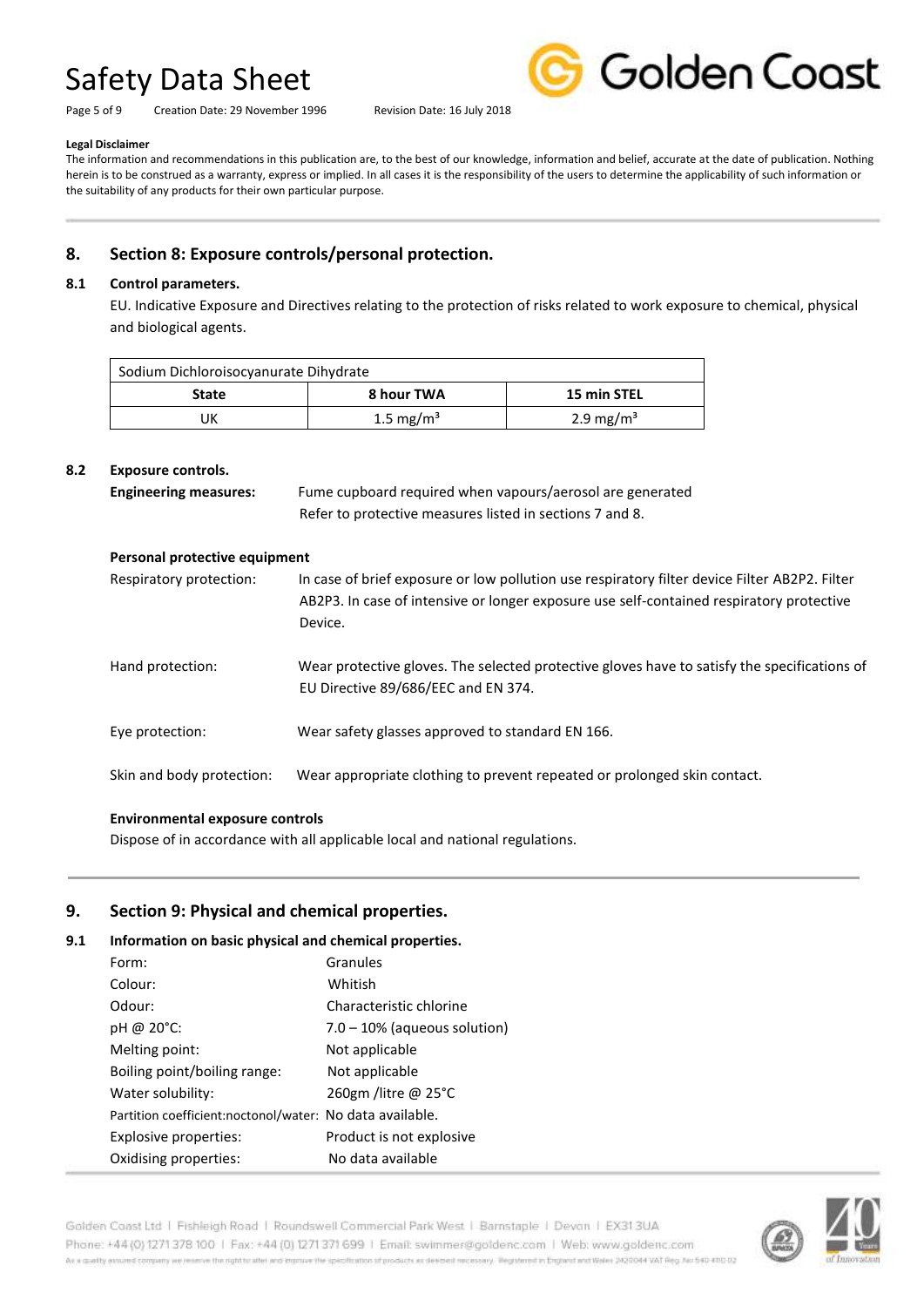Page 5 of 9 Creation Date: 29 November 1996 Revision Date: 16 July 2018



#### **Legal Disclaimer**

The information and recommendations in this publication are, to the best of our knowledge, information and belief, accurate at the date of publication. Nothing herein is to be construed as a warranty, express or implied. In all cases it is the responsibility of the users to determine the applicability of such information or the suitability of any products for their own particular purpose.

### **8. Section 8: Exposure controls/personal protection.**

#### **8.1 Control parameters.**

EU. Indicative Exposure and Directives relating to the protection of risks related to work exposure to chemical, physical and biological agents.

| Sodium Dichloroisocyanurate Dihydrate |                       |                       |  |
|---------------------------------------|-----------------------|-----------------------|--|
| State                                 | 8 hour TWA            | 15 min STEL           |  |
| JK                                    | 1.5 mg/m <sup>3</sup> | 2.9 mg/m <sup>3</sup> |  |

#### **8.2 Exposure controls.**

| <b>Engineering measures:</b> | Fume cupboard required when vapours/aerosol are generated |  |
|------------------------------|-----------------------------------------------------------|--|
|                              | Refer to protective measures listed in sections 7 and 8.  |  |

| Personal protective equipment |                                                                                                                                                                                                      |  |  |  |
|-------------------------------|------------------------------------------------------------------------------------------------------------------------------------------------------------------------------------------------------|--|--|--|
| Respiratory protection:       | In case of brief exposure or low pollution use respiratory filter device Filter AB2P2. Filter<br>AB2P3. In case of intensive or longer exposure use self-contained respiratory protective<br>Device. |  |  |  |
| Hand protection:              | Wear protective gloves. The selected protective gloves have to satisfy the specifications of<br>EU Directive 89/686/EEC and EN 374.                                                                  |  |  |  |
| Eye protection:               | Wear safety glasses approved to standard EN 166.                                                                                                                                                     |  |  |  |
| Skin and body protection:     | Wear appropriate clothing to prevent repeated or prolonged skin contact.                                                                                                                             |  |  |  |

#### **Environmental exposure controls**

Dispose of in accordance with all applicable local and national regulations.

#### **9. Section 9: Physical and chemical properties.**

#### **9.1 Information on basic physical and chemical properties.**

| Form:                                                    | Granules                        |
|----------------------------------------------------------|---------------------------------|
| Colour:                                                  | Whitish                         |
| Odour:                                                   | Characteristic chlorine         |
| pH @ 20°C:                                               | $7.0 - 10\%$ (aqueous solution) |
| Melting point:                                           | Not applicable                  |
| Boiling point/boiling range:                             | Not applicable                  |
| Water solubility:                                        | 260gm /litre @ 25 $^{\circ}$ C  |
| Partition coefficient:noctonol/water: No data available. |                                 |
| Explosive properties:                                    | Product is not explosive        |
| Oxidising properties:                                    | No data available               |

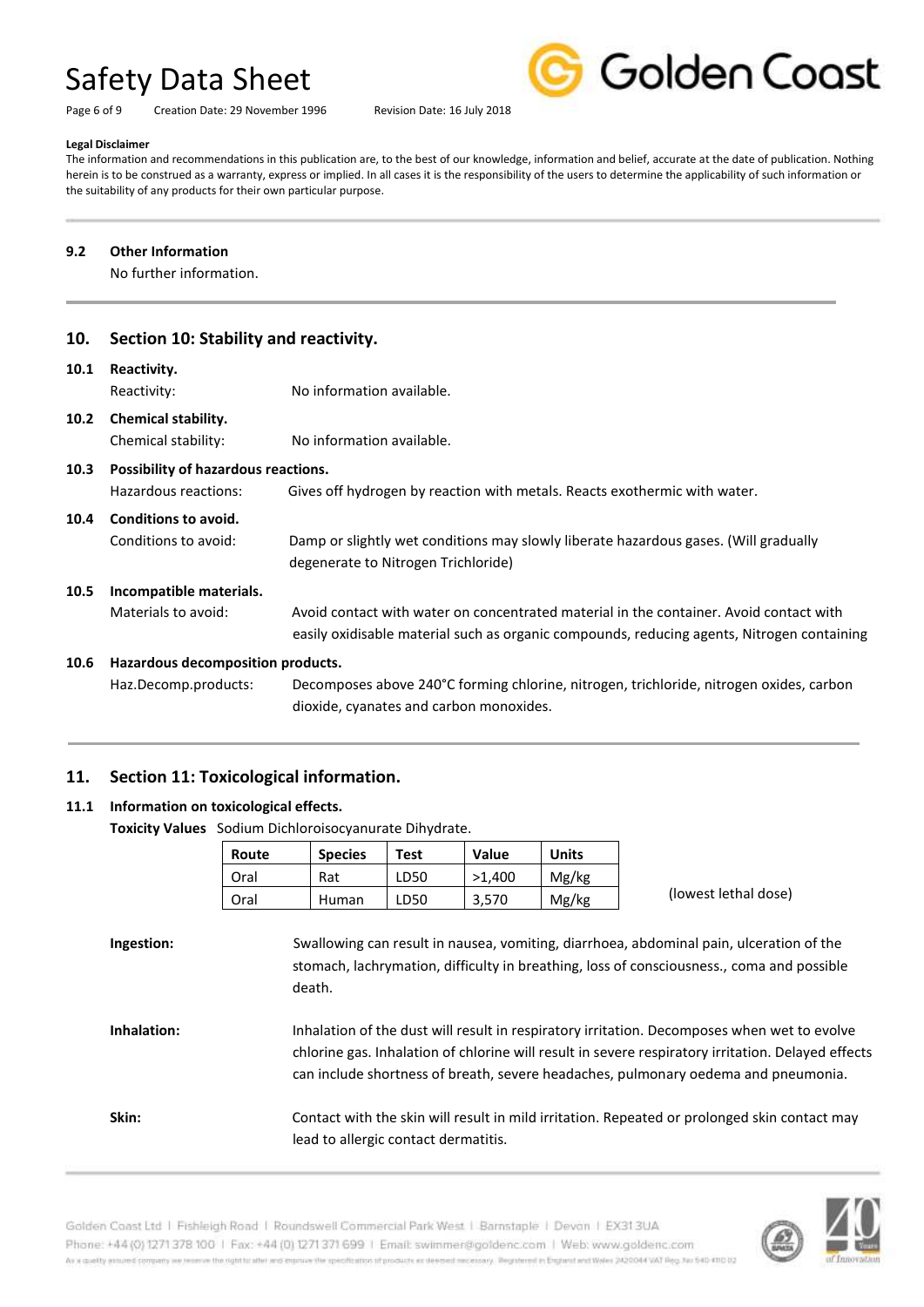Page 6 of 9 Creation Date: 29 November 1996 Revision Date: 16 July 2018



#### **Legal Disclaimer**

The information and recommendations in this publication are, to the best of our knowledge, information and belief, accurate at the date of publication. Nothing herein is to be construed as a warranty, express or implied. In all cases it is the responsibility of the users to determine the applicability of such information or the suitability of any products for their own particular purpose.

#### **9.2 Other Information**

No further information.

| 10.               | Section 10: Stability and reactivity.                                                                                                    |                                                                                                                                                                                      |  |  |
|-------------------|------------------------------------------------------------------------------------------------------------------------------------------|--------------------------------------------------------------------------------------------------------------------------------------------------------------------------------------|--|--|
| 10.1              | Reactivity.<br>Reactivity:                                                                                                               | No information available.                                                                                                                                                            |  |  |
| 10.2 <sub>1</sub> | <b>Chemical stability.</b><br>Chemical stability:                                                                                        | No information available.                                                                                                                                                            |  |  |
| 10.3              | Possibility of hazardous reactions.<br>Hazardous reactions:<br>Gives off hydrogen by reaction with metals. Reacts exothermic with water. |                                                                                                                                                                                      |  |  |
| 10.4              | Conditions to avoid.<br>Conditions to avoid:                                                                                             | Damp or slightly wet conditions may slowly liberate hazardous gases. (Will gradually<br>degenerate to Nitrogen Trichloride)                                                          |  |  |
| 10.5              | Incompatible materials.<br>Materials to avoid:                                                                                           | Avoid contact with water on concentrated material in the container. Avoid contact with<br>easily oxidisable material such as organic compounds, reducing agents, Nitrogen containing |  |  |
| 10.6              | Hazardous decomposition products.                                                                                                        |                                                                                                                                                                                      |  |  |
|                   | Haz.Decomp.products:                                                                                                                     | Decomposes above 240°C forming chlorine, nitrogen, trichloride, nitrogen oxides, carbon                                                                                              |  |  |

dioxide, cyanates and carbon monoxides.

### **11. Section 11: Toxicological information.**

#### **11.1 Information on toxicological effects.**

**Toxicity Values** Sodium Dichloroisocyanurate Dihydrate.

|             | Route | <b>Species</b>                                                                                                                                                                                                                                                                          | <b>Test</b> | Value  | <b>Units</b> |                      |  |
|-------------|-------|-----------------------------------------------------------------------------------------------------------------------------------------------------------------------------------------------------------------------------------------------------------------------------------------|-------------|--------|--------------|----------------------|--|
|             | Oral  | Rat                                                                                                                                                                                                                                                                                     | LD50        | >1,400 | Mg/kg        |                      |  |
|             | Oral  | <b>Human</b>                                                                                                                                                                                                                                                                            | LD50        | 3,570  | Mg/kg        | (lowest lethal dose) |  |
| Ingestion:  |       | Swallowing can result in nausea, vomiting, diarrhoea, abdominal pain, ulceration of the<br>stomach, lachrymation, difficulty in breathing, loss of consciousness., coma and possible<br>death.                                                                                          |             |        |              |                      |  |
| Inhalation: |       | Inhalation of the dust will result in respiratory irritation. Decomposes when wet to evolve<br>chlorine gas. Inhalation of chlorine will result in severe respiratory irritation. Delayed effects<br>can include shortness of breath, severe headaches, pulmonary oedema and pneumonia. |             |        |              |                      |  |
| Skin:       |       | Contact with the skin will result in mild irritation. Repeated or prolonged skin contact may<br>lead to allergic contact dermatitis.                                                                                                                                                    |             |        |              |                      |  |

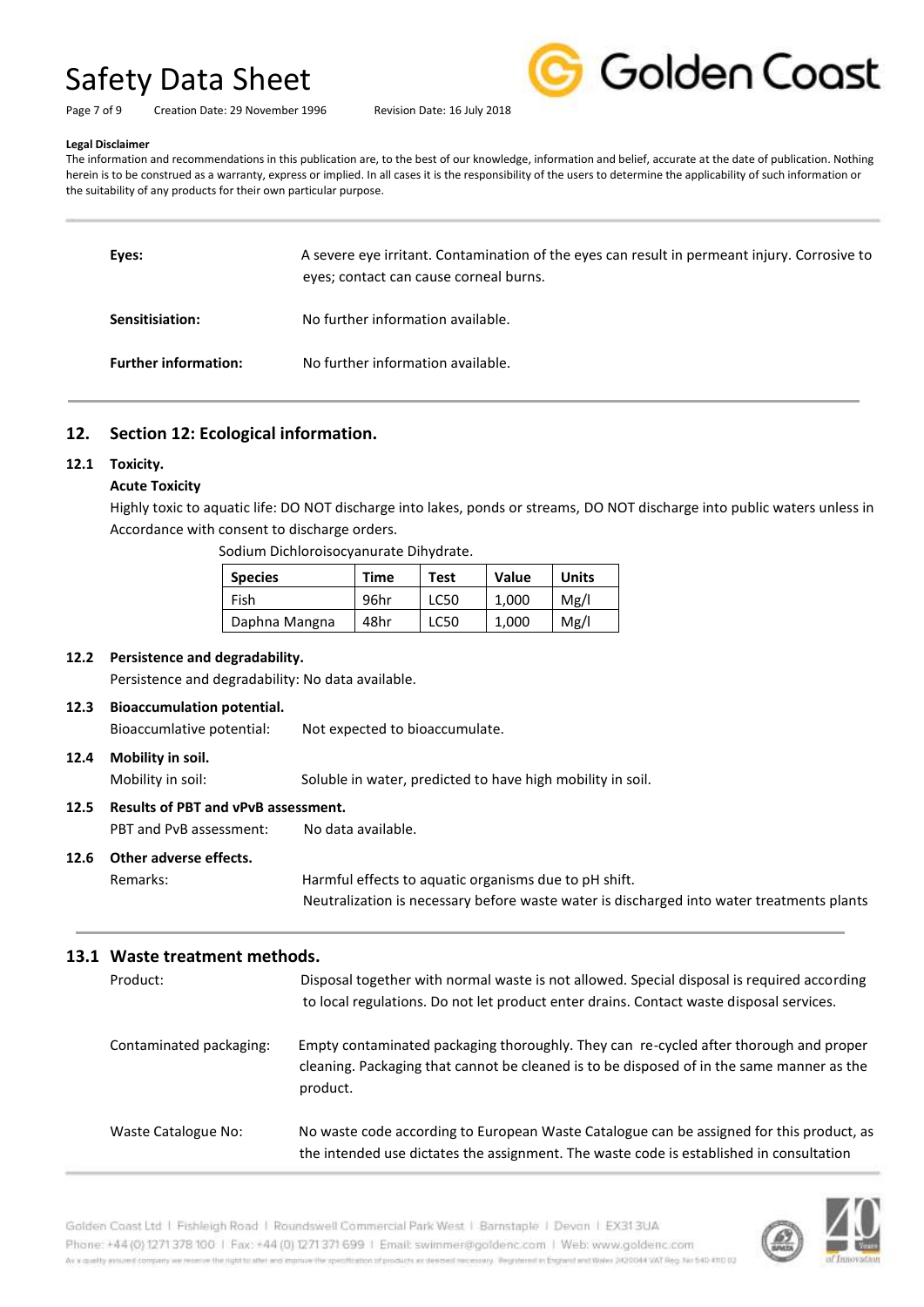Page 7 of 9 Creation Date: 29 November 1996 Revision Date: 16 July 2018



#### **Legal Disclaimer**

The information and recommendations in this publication are, to the best of our knowledge, information and belief, accurate at the date of publication. Nothing herein is to be construed as a warranty, express or implied. In all cases it is the responsibility of the users to determine the applicability of such information or the suitability of any products for their own particular purpose.

| Eyes: |                             | A severe eye irritant. Contamination of the eyes can result in permeant injury. Corrosive to<br>eyes; contact can cause corneal burns. |
|-------|-----------------------------|----------------------------------------------------------------------------------------------------------------------------------------|
|       | Sensitisiation:             | No further information available.                                                                                                      |
|       | <b>Further information:</b> | No further information available.                                                                                                      |

#### **12. Section 12: Ecological information.**

#### **12.1 Toxicity.**

#### **Acute Toxicity**

Highly toxic to aquatic life: DO NOT discharge into lakes, ponds or streams, DO NOT discharge into public waters unless in Accordance with consent to discharge orders.

Sodium Dichloroisocyanurate Dihydrate.

| <b>Species</b> | Time | <b>Test</b> | Value | <b>Units</b> |
|----------------|------|-------------|-------|--------------|
| Fish           | 96hr | LC50        | 1.000 | Mg/l         |
| Daphna Mangna  | 48hr | LC50        | 1,000 | Mg/l         |

#### **12.2 Persistence and degradability.**

Persistence and degradability: No data available.

#### **12.3 Bioaccumulation potential.**

Bioaccumlative potential: Not expected to bioaccumulate.

#### **12.4 Mobility in soil.**

Mobility in soil: Soluble in water, predicted to have high mobility in soil.

#### **12.5 Results of PBT and vPvB assessment.**

PBT and PvB assessment: No data available.

#### **12.6 Other adverse effects.**

Remarks: Harmful effects to aquatic organisms due to pH shift. Neutralization is necessary before waste water is discharged into water treatments plants

#### **13.1 Waste treatment methods.**

| Product:                | Disposal together with normal waste is not allowed. Special disposal is required according<br>to local regulations. Do not let product enter drains. Contact waste disposal services.          |
|-------------------------|------------------------------------------------------------------------------------------------------------------------------------------------------------------------------------------------|
| Contaminated packaging: | Empty contaminated packaging thoroughly. They can re-cycled after thorough and proper<br>cleaning. Packaging that cannot be cleaned is to be disposed of in the same manner as the<br>product. |
| Waste Catalogue No:     | No waste code according to European Waste Catalogue can be assigned for this product, as<br>the intended use dictates the assignment. The waste code is established in consultation            |

Golden Coast Ltd | Fishleigh Road | Roundswell Commercial Park West | Barnstaple | Devon | EX313UA Phone: +44 (0) 1271 378 100 | Fax: +44 (0) 1271 371 699 | Email: swimmer@goldenc.com | Web: www.goldenc.com As a quality annumel company we reserve the right to alter and improve the specification of products as determining received measury. Registered in Enginmed in this mid Wales (AQDO44 VAT Reg. No 540-410 0)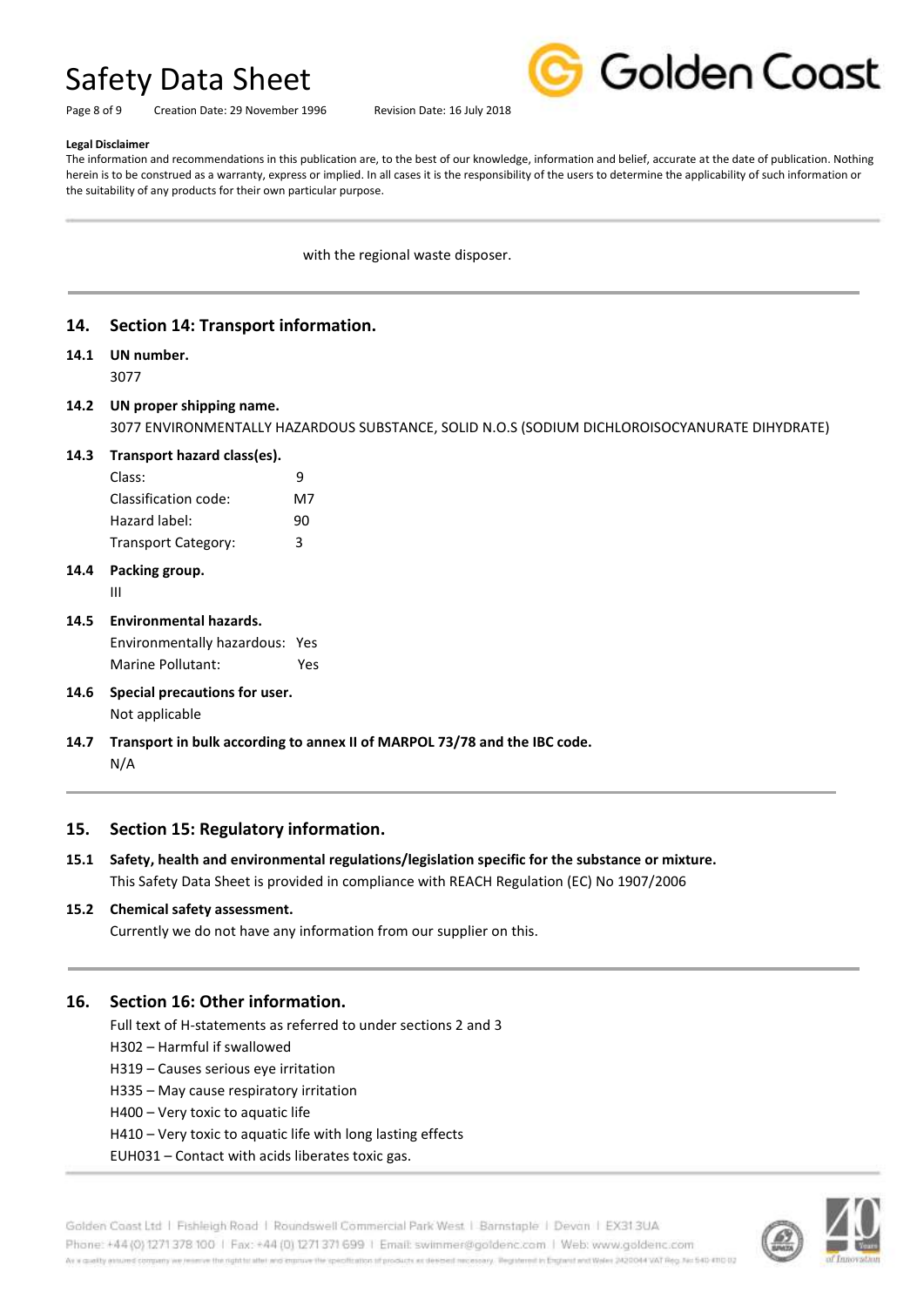

Page 8 of 9 Creation Date: 29 November 1996 Revision Date: 16 July 2018

#### **Legal Disclaimer**

The information and recommendations in this publication are, to the best of our knowledge, information and belief, accurate at the date of publication. Nothing herein is to be construed as a warranty, express or implied. In all cases it is the responsibility of the users to determine the applicability of such information or the suitability of any products for their own particular purpose.

with the regional waste disposer.

#### **14. Section 14: Transport information.**

### **14.1 UN number.**

3077

### **14.2 UN proper shipping name.**

3077 ENVIRONMENTALLY HAZARDOUS SUBSTANCE, SOLID N.O.S (SODIUM DICHLOROISOCYANURATE DIHYDRATE)

#### **14.3 Transport hazard class(es).**

| Class:               | q  |
|----------------------|----|
| Classification code: | M7 |
| Hazard label:        | 90 |
| Transport Category:  | з  |

### **14.4 Packing group.**

III

**14.5 Environmental hazards.**

Environmentally hazardous: Yes Marine Pollutant: Yes

- **14.6 Special precautions for user.** Not applicable
- **14.7 Transport in bulk according to annex II of MARPOL 73/78 and the IBC code.** N/A

#### **15. Section 15: Regulatory information.**

**15.1 Safety, health and environmental regulations/legislation specific for the substance or mixture.** This Safety Data Sheet is provided in compliance with REACH Regulation (EC) No 1907/2006

#### **15.2 Chemical safety assessment.**

Currently we do not have any information from our supplier on this.

#### **16. Section 16: Other information.**

Full text of H-statements as referred to under sections 2 and 3

- H302 Harmful if swallowed
- H319 Causes serious eye irritation
- H335 May cause respiratory irritation
- H400 Very toxic to aquatic life
- H410 Very toxic to aquatic life with long lasting effects
- EUH031 Contact with acids liberates toxic gas.